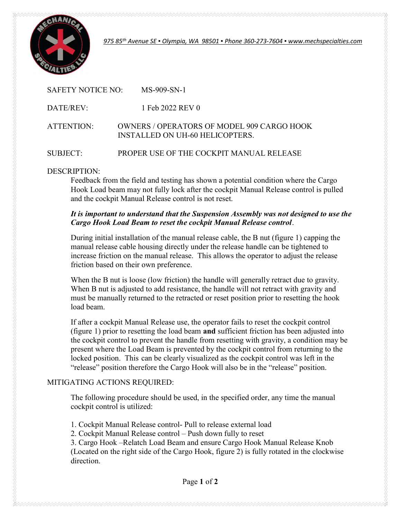

975 85th Avenue SE ▪ Olympia, WA 98501 ▪ Phone 360-273-7604 ▪ www.mechspecialties.com

| SAFETY NOTICE NO: | $MS-909-SN-1$                                                                               |
|-------------------|---------------------------------------------------------------------------------------------|
| DATE/REV:         | 1 Feb 2022 REV 0                                                                            |
| ATTENTION:        | <b>OWNERS / OPERATORS OF MODEL 909 CARGO HOOK</b><br><b>INSTALLED ON UH-60 HELICOPTERS.</b> |
| SUBJECT:          | PROPER USE OF THE COCKPIT MANUAL RELEASE                                                    |

DESCRIPTION:

 Feedback from the field and testing has shown a potential condition where the Cargo Hook Load beam may not fully lock after the cockpit Manual Release control is pulled and the cockpit Manual Release control is not reset.

## It is important to understand that the Suspension Assembly was not designed to use the Cargo Hook Load Beam to reset the cockpit Manual Release control.

 During initial installation of the manual release cable, the B nut (figure 1) capping the manual release cable housing directly under the release handle can be tightened to increase friction on the manual release. This allows the operator to adjust the release friction based on their own preference.

When the B nut is loose (low friction) the handle will generally retract due to gravity. When B nut is adjusted to add resistance, the handle will not retract with gravity and must be manually returned to the retracted or reset position prior to resetting the hook load beam.

 If after a cockpit Manual Release use, the operator fails to reset the cockpit control (figure 1) prior to resetting the load beam and sufficient friction has been adjusted into the cockpit control to prevent the handle from resetting with gravity, a condition may be present where the Load Beam is prevented by the cockpit control from returning to the locked position. This can be clearly visualized as the cockpit control was left in the "release" position therefore the Cargo Hook will also be in the "release" position.

## MITIGATING ACTIONS REQUIRED:

 The following procedure should be used, in the specified order, any time the manual cockpit control is utilized:

1. Cockpit Manual Release control- Pull to release external load

2. Cockpit Manual Release control – Push down fully to reset

 3. Cargo Hook –Relatch Load Beam and ensure Cargo Hook Manual Release Knob (Located on the right side of the Cargo Hook, figure 2) is fully rotated in the clockwise direction.